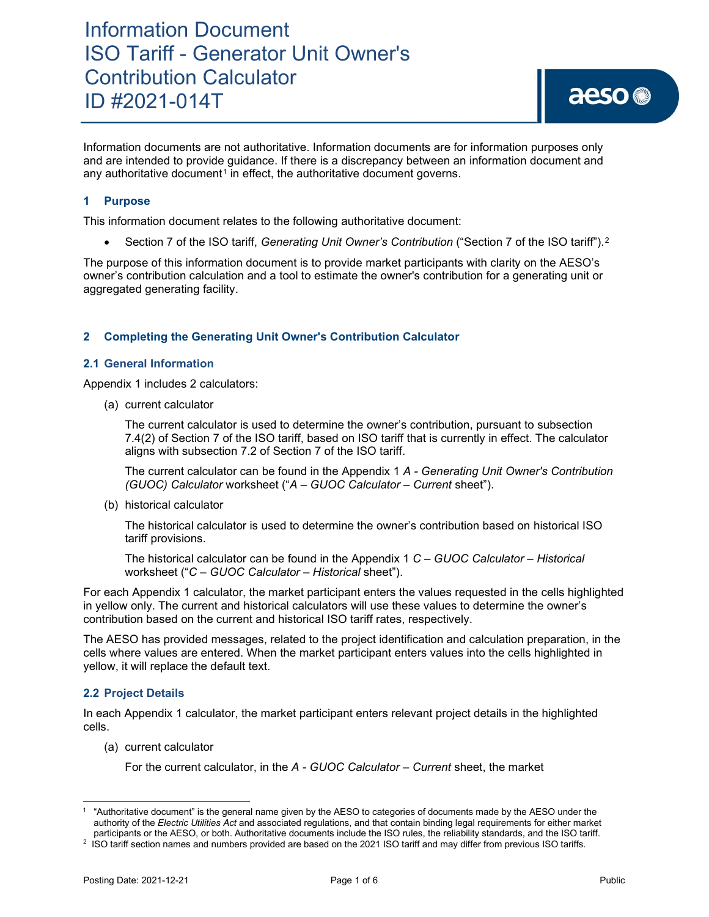## Information Document ISO Tariff - Generator Unit Owner's Contribution Calculator ID #2021-014T

Information documents are not authoritative. Information documents are for information purposes only and are intended to provide guidance. If there is a discrepancy between an information document and any authoritative document<sup>[1](#page-0-0)</sup> in effect, the authoritative document governs.

### **1 Purpose**

This information document relates to the following authoritative document:

• Section 7 of the ISO tariff, *Generating Unit Owner's Contribution* ("Section 7 of the ISO tariff").<sup>[2](#page-0-1)</sup>

The purpose of this information document is to provide market participants with clarity on the AESO's owner's contribution calculation and a tool to estimate the owner's contribution for a generating unit or aggregated generating facility.

### **2 Completing the Generating Unit Owner's Contribution Calculator**

#### **2.1 General Information**

Appendix 1 includes 2 calculators:

(a) current calculator

The current calculator is used to determine the owner's contribution, pursuant to subsection 7.4(2) of Section 7 of the ISO tariff, based on ISO tariff that is currently in effect. The calculator aligns with subsection 7.2 of Section 7 of the ISO tariff.

The current calculator can be found in the Appendix 1 *A - Generating Unit Owner's Contribution (GUOC) Calculator* worksheet ("*A – GUOC Calculator – Current* sheet").

(b) historical calculator

The historical calculator is used to determine the owner's contribution based on historical ISO tariff provisions.

The historical calculator can be found in the Appendix 1 *C – GUOC Calculator – Historical* worksheet ("*C – GUOC Calculator – Historical* sheet").

For each Appendix 1 calculator, the market participant enters the values requested in the cells highlighted in yellow only. The current and historical calculators will use these values to determine the owner's contribution based on the current and historical ISO tariff rates, respectively.

The AESO has provided messages, related to the project identification and calculation preparation, in the cells where values are entered. When the market participant enters values into the cells highlighted in yellow, it will replace the default text.

#### **2.2 Project Details**

In each Appendix 1 calculator, the market participant enters relevant project details in the highlighted cells.

(a) current calculator

For the current calculator, in the *A - GUOC Calculator – Current* sheet, the market

<span id="page-0-0"></span><sup>1</sup> "Authoritative document" is the general name given by the AESO to categories of documents made by the AESO under the authority of the *Electric Utilities Act* and associated regulations, and that contain binding legal requirements for either market participants or the AESO, or both. Authoritative documents include the ISO rules, the reliability standards, and the ISO tariff.

<span id="page-0-1"></span><sup>2</sup> ISO tariff section names and numbers provided are based on the 2021 ISO tariff and may differ from previous ISO tariffs.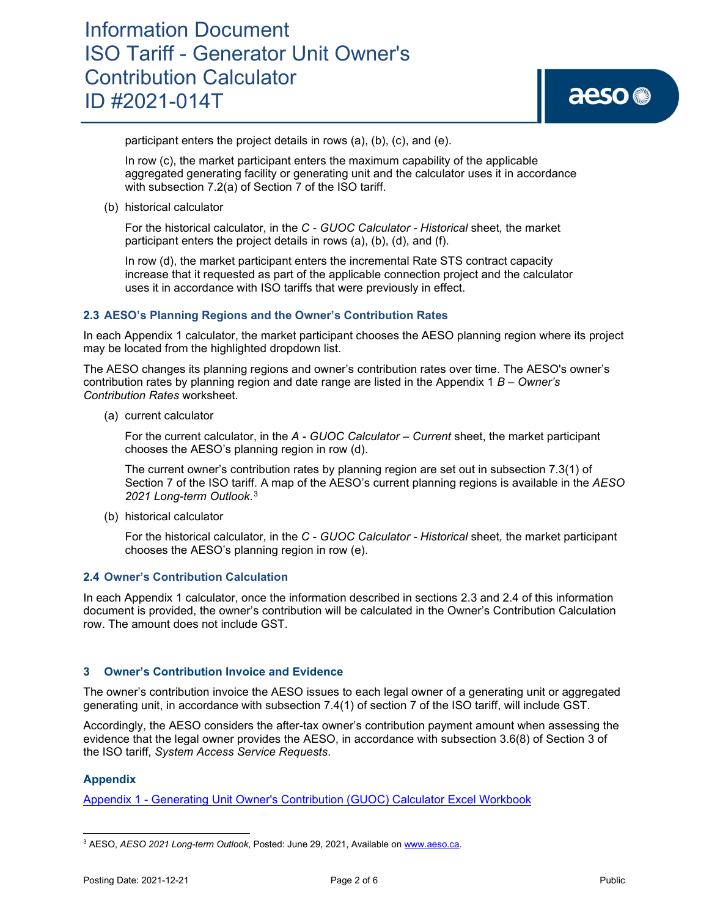## Information Document ISO Tariff - Generator Unit Owner's Contribution Calculator ID #2021-014T

participant enters the project details in rows (a), (b), (c), and (e).

In row (c), the market participant enters the maximum capability of the applicable aggregated generating facility or generating unit and the calculator uses it in accordance with subsection 7.2(a) of Section 7 of the ISO tariff.

(b) historical calculator

For the historical calculator, in the *C* - *GUOC Calculator - Historical* sheet*,* the market participant enters the project details in rows (a), (b), (d), and (f).

In row (d), the market participant enters the incremental Rate STS contract capacity increase that it requested as part of the applicable connection project and the calculator uses it in accordance with ISO tariffs that were previously in effect.

### **2.3 AESO's Planning Regions and the Owner's Contribution Rates**

In each Appendix 1 calculator, the market participant chooses the AESO planning region where its project may be located from the highlighted dropdown list.

The AESO changes its planning regions and owner's contribution rates over time. The AESO's owner's contribution rates by planning region and date range are listed in the Appendix 1 *B – Owner's Contribution Rates* worksheet.

(a) current calculator

For the current calculator, in the *A - GUOC Calculator – Current* sheet, the market participant chooses the AESO's planning region in row (d).

The current owner's contribution rates by planning region are set out in subsection 7.3(1) of Section 7 of the ISO tariff. A map of the AESO's current planning regions is available in the *AESO 2021 Long-term Outlook*.[3](#page-1-0)

(b) historical calculator

For the historical calculator, in the *C* - *GUOC Calculator - Historical* sheet*,* the market participant chooses the AESO's planning region in row (e).

#### **2.4 Owner's Contribution Calculation**

In each Appendix 1 calculator, once the information described in sections 2.3 and 2.4 of this information document is provided, the owner's contribution will be calculated in the Owner's Contribution Calculation row. The amount does not include GST.

#### **3 Owner's Contribution Invoice and Evidence**

The owner's contribution invoice the AESO issues to each legal owner of a generating unit or aggregated generating unit, in accordance with subsection 7.4(1) of section 7 of the ISO tariff, will include GST.

Accordingly, the AESO considers the after-tax owner's contribution payment amount when assessing the evidence that the legal owner provides the AESO, in accordance with subsection 3.6(8) of Section 3 of the ISO tariff, *System Access Service Requests*.

### **Appendix**

[Appendix 1 - Generating Unit Owner's Contribution \(GUOC\) Calculator Excel Workbook](https://www.aeso.ca/assets/linkfiles/2021-014T-Appendix-1-Generating-Unit-Owners-Contribution-GUOC-Calculator-Excel-Workbook-v2.xlsx)

<span id="page-1-0"></span><sup>3</sup> AESO, *AESO 2021 Long-term Outlook*, Posted: June 29, 2021, Available o[n www.aeso.ca.](http://www.aeso.ca/)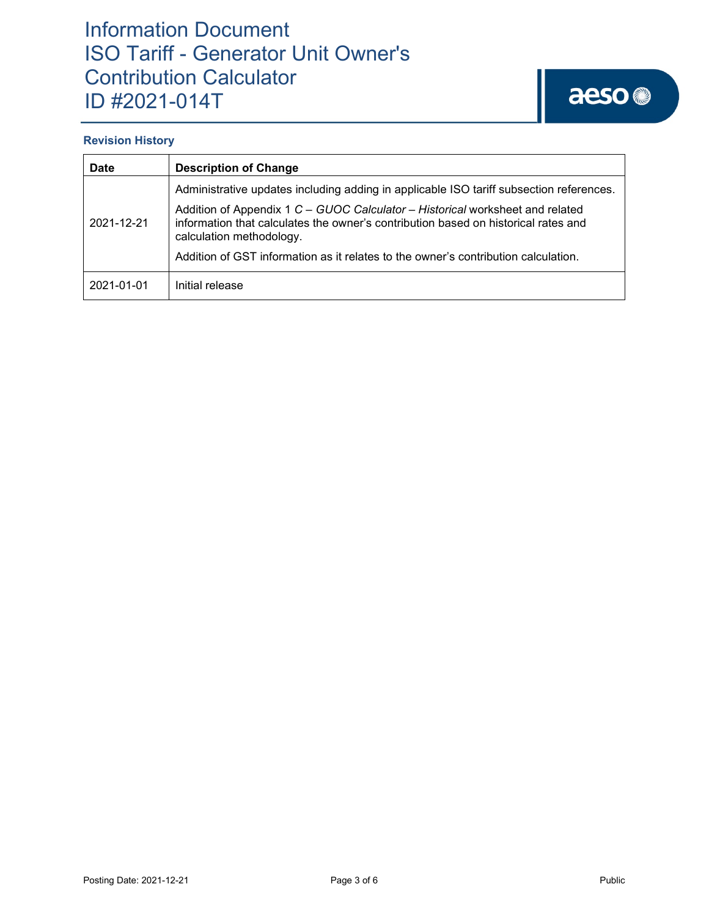## Information Document ISO Tariff - Generator Unit Owner's Contribution Calculator ID #2021-014T

### **Revision History**

| <b>Date</b> | <b>Description of Change</b>                                                                                                                                                                    |  |  |  |  |
|-------------|-------------------------------------------------------------------------------------------------------------------------------------------------------------------------------------------------|--|--|--|--|
|             | Administrative updates including adding in applicable ISO tariff subsection references.                                                                                                         |  |  |  |  |
| 2021-12-21  | Addition of Appendix 1 C - GUOC Calculator - Historical worksheet and related<br>information that calculates the owner's contribution based on historical rates and<br>calculation methodology. |  |  |  |  |
|             | Addition of GST information as it relates to the owner's contribution calculation.                                                                                                              |  |  |  |  |
| 2021-01-01  | Initial release                                                                                                                                                                                 |  |  |  |  |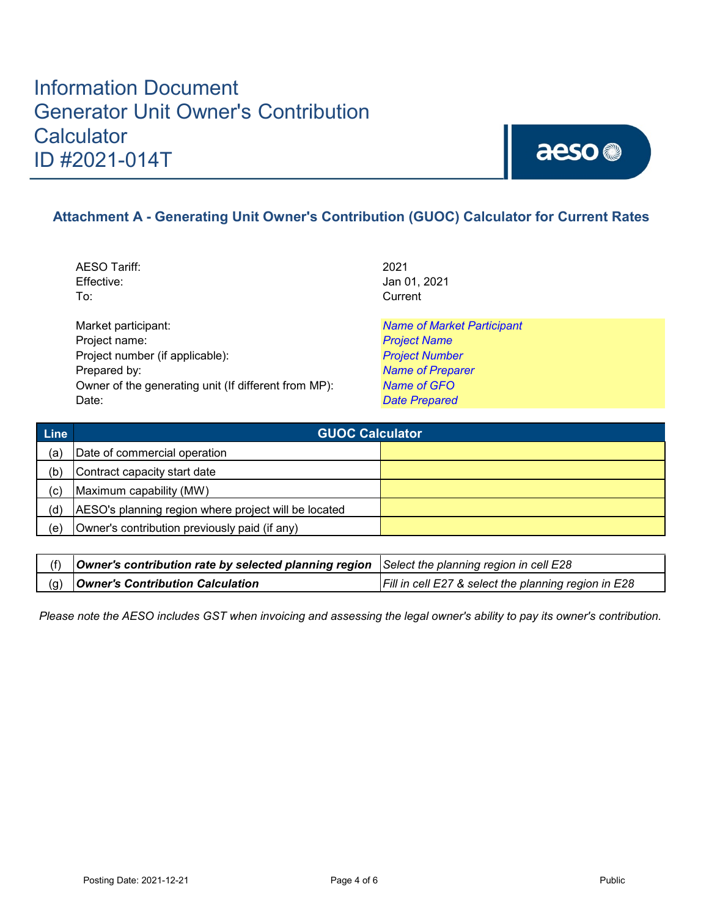## Information Document Generator Unit Owner's Contribution **Calculator** ID #2021-014T



### **Attachment A - Generating Unit Owner's Contribution (GUOC) Calculator for Current Rates**

AESO Tariff: 2021 Effective: Jan 01, 2021 To: Current

Market participant: *Name of Market Participant* Project name: *Project Name* Project number (if applicable): *Project Number* Prepared by: *Name of Preparer* Owner of the generating unit (If different from MP): *Name of GFO* Date: *Date Prepared*

| <b>Line</b> | <b>GUOC Calculator</b>                               |  |
|-------------|------------------------------------------------------|--|
| (a`         | Date of commercial operation                         |  |
| (b)         | Contract capacity start date                         |  |
| (c)         | Maximum capability (MW)                              |  |
| (d)         | AESO's planning region where project will be located |  |
| (e)         | Owner's contribution previously paid (if any)        |  |

| (f) $\vert$ Owner's contribution rate by selected planning region Select the planning region in cell E28 |                                                      |
|----------------------------------------------------------------------------------------------------------|------------------------------------------------------|
| (g) <b>Owner's Contribution Calculation</b>                                                              | Fill in cell E27 & select the planning region in E28 |

*Please note the AESO includes GST when invoicing and assessing the legal owner's ability to pay its owner's contribution.*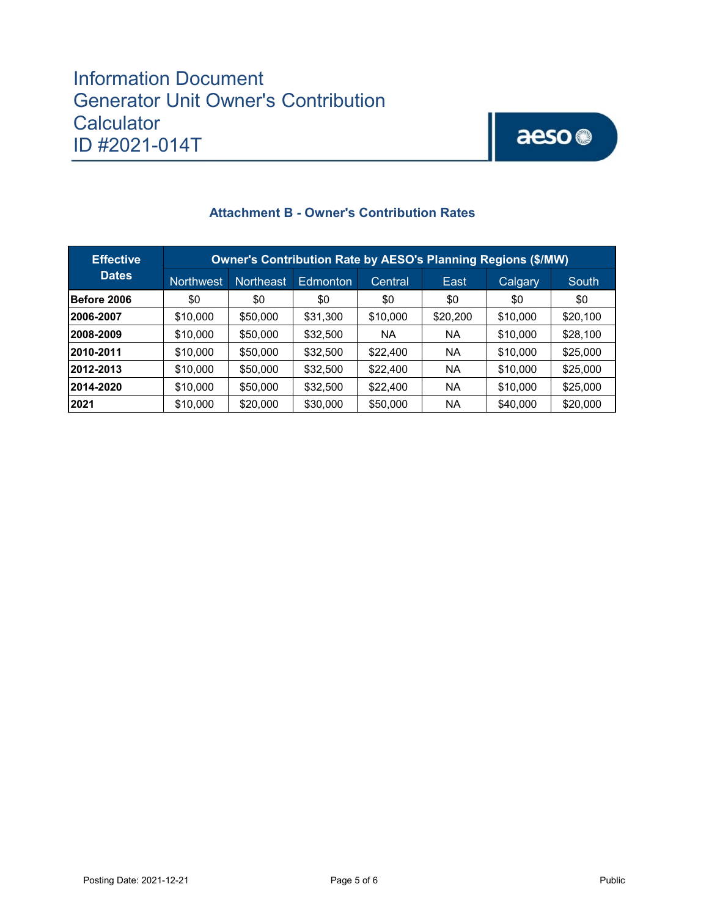### Information Document Generator Unit Owner's Contribution **Calculator** ID #2021-014T

# aeso<sup>®</sup>

| <b>Effective</b> | Owner's Contribution Rate by AESO's Planning Regions (\$/MW) |                  |                 |           |          |          |          |
|------------------|--------------------------------------------------------------|------------------|-----------------|-----------|----------|----------|----------|
| <b>Dates</b>     | <b>Northwest</b>                                             | <b>Northeast</b> | <b>Edmonton</b> | 'Central. | East     | Calgary  | South    |
| Before 2006      | \$0                                                          | \$0              | \$0             | \$0       | \$0      | \$0      | \$0      |
| 12006-2007       | \$10,000                                                     | \$50,000         | \$31,300        | \$10,000  | \$20,200 | \$10,000 | \$20,100 |
| 2008-2009        | \$10,000                                                     | \$50,000         | \$32,500        | ΝA        | NA       | \$10,000 | \$28,100 |
| 2010-2011        | \$10,000                                                     | \$50,000         | \$32,500        | \$22,400  | NA       | \$10,000 | \$25,000 |
| 2012-2013        | \$10,000                                                     | \$50,000         | \$32,500        | \$22,400  | NA       | \$10,000 | \$25,000 |
| 2014-2020        | \$10,000                                                     | \$50,000         | \$32,500        | \$22,400  | NA       | \$10,000 | \$25,000 |
| 2021             | \$10,000                                                     | \$20,000         | \$30,000        | \$50,000  | NA       | \$40,000 | \$20,000 |

### **Attachment B - Owner's Contribution Rates**